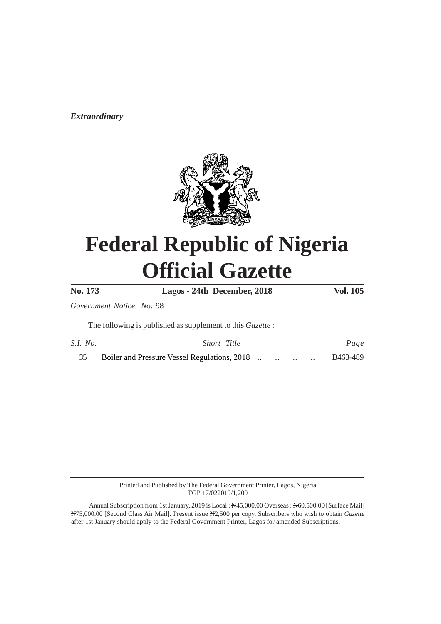*Extraordinary*



# **Federal Republic of Nigeria Official Gazette**

**No. 173 Lagos - 24th December, 2018 Vol. 105**

*Government Notice No.* 98

The following is published as supplement to this *Gazette* :

| S.I. No. | Short Title                                  |  |  | Page     |
|----------|----------------------------------------------|--|--|----------|
|          | Boiler and Pressure Vessel Regulations, 2018 |  |  | B463-489 |

Printed and Published by The Federal Government Printer, Lagos, Nigeria FGP 17/022019/1,200

Annual Subscription from 1st January, 2019 is Local : N45,000.00 Overseas : N60,500.00 [Surface Mail] N75,000.00 [Second Class Air Mail]. Present issue N2,500 per copy. Subscribers who wish to obtain *Gazette* after 1st January should apply to the Federal Government Printer, Lagos for amended Subscriptions.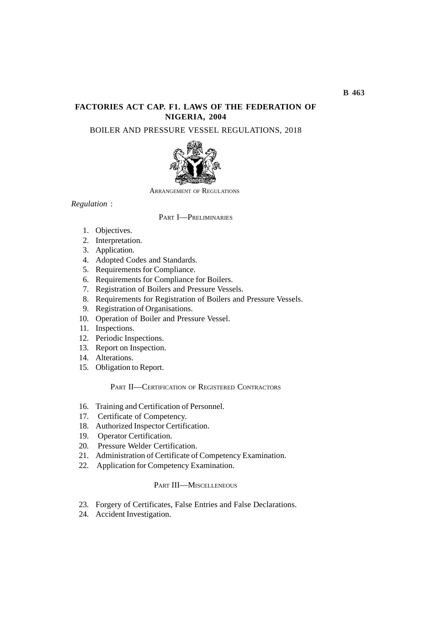# **FACTORIES ACT CAP. F1. LAWS OF THE FEDERATION OF NIGERIA, 2004**

BOILER AND PRESSURE VESSEL REGULATIONS, 2018



ARRANGEMENT OF REGULATIONS

*Regulation* :

### PART I—PRELIMINARIES

- 1. Objectives.
- 2. Interpretation.
- 3. Application.
- 4. Adopted Codes and Standards.
- 5. Requirements for Compliance.
- 6. Requirements for Compliance for Boilers.
- 7. Registration of Boilers and Pressure Vessels.
- 8. Requirements for Registration of Boilers and Pressure Vessels.
- 9. Registration of Organisations.
- 10. Operation of Boiler and Pressure Vessel.
- 11. Inspections.
- 12. Periodic Inspections.
- 13. Report on Inspection.
- 14. Alterations.
- 15. Obligation to Report.

## PART II—CERTIFICATION OF REGISTERED CONTRACTORS

- 16. Training and Certification of Personnel.
- 17. Certificate of Competency.
- 18. Authorized Inspector Certification.
- 19. Operator Certification.
- 20. Pressure Welder Certification.
- 21. Administration of Certificate of Competency Examination.
- 22. Application for Competency Examination.

# PART **III—MISCELLENEOUS**

- 23. Forgery of Certificates, False Entries and False Declarations.
- 24. Accident Investigation.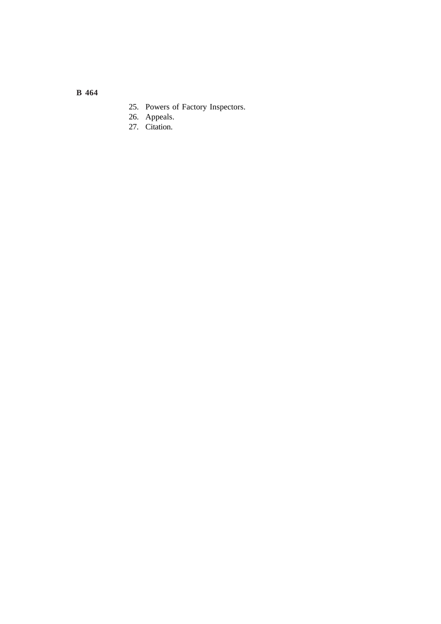- 25. Powers of Factory Inspectors.
- 26. Appeals.
- 27. Citation.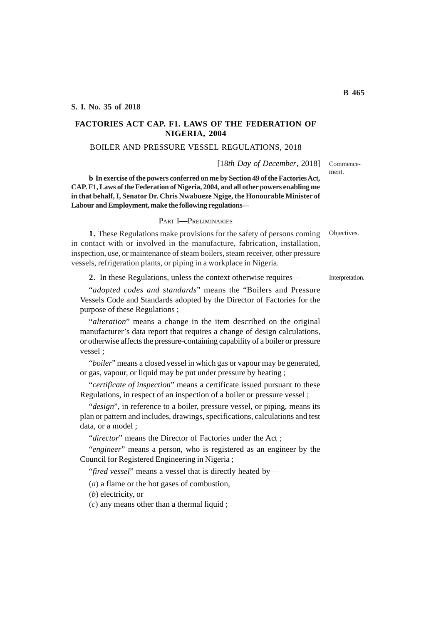# **FACTORIES ACT CAP. F1. LAWS OF THE FEDERATION OF NIGERIA, 2004**

#### BOILER AND PRESSURE VESSEL REGULATIONS, 2018

[18*th Day of December*, 2018]

**b In exercise of the powers conferred on me by Section 49 of the Factories Act, CAP. F1, Laws of the Federation of Nigeria, 2004, and all other powers enabling me in that behalf, I, Senator Dr. Chris Nwabueze Ngige, the Honourable Minister of Labour and Employment, make the following regulations—**

#### PART I—PRELIMINARIES

**1.** These Regulations make provisions for the safety of persons coming in contact with or involved in the manufacture, fabrication, installation, inspection, use, or maintenance of steam boilers, steam receiver, other pressure vessels, refrigeration plants, or piping in a workplace in Nigeria.

**2.** In these Regulations, unless the context otherwise requires—

"*adopted codes and standards*" means the "Boilers and Pressure Vessels Code and Standards adopted by the Director of Factories for the purpose of these Regulations ;

"*alteration*" means a change in the item described on the original manufacturer's data report that requires a change of design calculations, or otherwise affects the pressure-containing capability of a boiler or pressure vessel ;

"*boiler*" means a closed vessel in which gas or vapour may be generated, or gas, vapour, or liquid may be put under pressure by heating ;

"*certificate of inspection*" means a certificate issued pursuant to these Regulations, in respect of an inspection of a boiler or pressure vessel ;

"*design*", in reference to a boiler, pressure vessel, or piping, means its plan or pattern and includes, drawings, specifications, calculations and test data, or a model ;

"*director*" means the Director of Factories under the Act ;

"*engineer*" means a person, who is registered as an engineer by the Council for Registered Engineering in Nigeria ;

"*fired vessel*" means a vessel that is directly heated by—

(*a*) a flame or the hot gases of combustion,

(*b*) electricity, or

(*c*) any means other than a thermal liquid ;

Objectives.

Commencement.

Interpretation.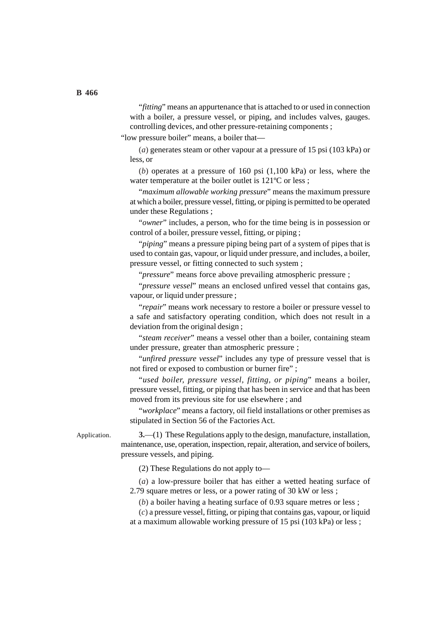"*fitting*" means an appurtenance that is attached to or used in connection with a boiler, a pressure vessel, or piping, and includes valves, gauges. controlling devices, and other pressure-retaining components ;

"low pressure boiler" means, a boiler that—

(*a*) generates steam or other vapour at a pressure of 15 psi (103 kPa) or less, or

(*b*) operates at a pressure of 160 psi (1,100 kPa) or less, where the water temperature at the boiler outlet is 121<sup>o</sup>C or less ;

"*maximum allowable working pressure*" means the maximum pressure at which a boiler, pressure vessel, fitting, or piping is permitted to be operated under these Regulations ;

"*owner*" includes, a person, who for the time being is in possession or control of a boiler, pressure vessel, fitting, or piping ;

"*piping*" means a pressure piping being part of a system of pipes that is used to contain gas, vapour, or liquid under pressure, and includes, a boiler, pressure vessel, or fitting connected to such system ;

"*pressure*" means force above prevailing atmospheric pressure ;

"*pressure vessel*" means an enclosed unfired vessel that contains gas, vapour, or liquid under pressure ;

"*repair*" means work necessary to restore a boiler or pressure vessel to a safe and satisfactory operating condition, which does not result in a deviation from the original design ;

"*steam receiver*" means a vessel other than a boiler, containing steam under pressure, greater than atmospheric pressure ;

"*unfired pressure vessel*" includes any type of pressure vessel that is not fired or exposed to combustion or burner fire" ;

"*used boiler, pressure vessel, fitting, or piping*" means a boiler, pressure vessel, fitting, or piping that has been in service and that has been moved from its previous site for use elsewhere ; and

"*workplace*" means a factory, oil field installations or other premises as stipulated in Section 56 of the Factories Act.

Application.

**3.**—(1) These Regulations apply to the design, manufacture, installation, maintenance, use, operation, inspection, repair, alteration, and service of boilers, pressure vessels, and piping.

(2) These Regulations do not apply to—

(*a*) a low-pressure boiler that has either a wetted heating surface of 2.79 square metres or less, or a power rating of 30 kW or less ;

(*b*) a boiler having a heating surface of 0.93 square metres or less ;

(*c*) a pressure vessel, fitting, or piping that contains gas, vapour, or liquid at a maximum allowable working pressure of 15 psi (103 kPa) or less ;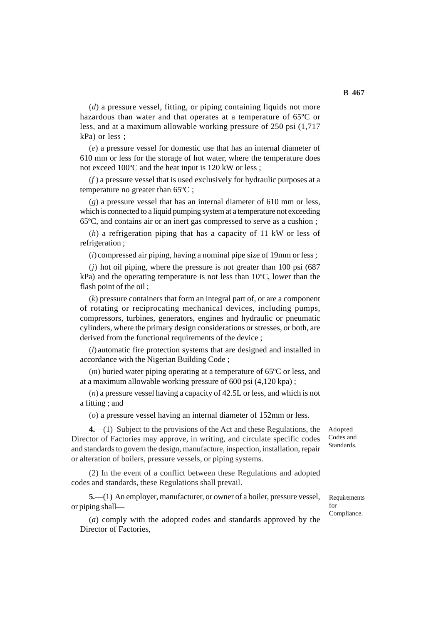(*d*) a pressure vessel, fitting, or piping containing liquids not more hazardous than water and that operates at a temperature of 65ºC or less, and at a maximum allowable working pressure of 250 psi (1,717 kPa) or less ;

(*e*) a pressure vessel for domestic use that has an internal diameter of 610 mm or less for the storage of hot water, where the temperature does not exceed 100ºC and the heat input is 120 kW or less ;

(*f* ) a pressure vessel that is used exclusively for hydraulic purposes at a temperature no greater than 65ºC ;

(*g*) a pressure vessel that has an internal diameter of 610 mm or less, which is connected to a liquid pumping system at a temperature not exceeding 65ºC, and contains air or an inert gas compressed to serve as a cushion ;

(*h*) a refrigeration piping that has a capacity of 11 kW or less of refrigeration ;

(*i*) compressed air piping, having a nominal pipe size of 19mm or less ;

 $(i)$  hot oil piping, where the pressure is not greater than 100 psi  $(687)$ kPa) and the operating temperature is not less than 10ºC, lower than the flash point of the oil;

(*k*) pressure containers that form an integral part of, or are a component of rotating or reciprocating mechanical devices, including pumps, compressors, turbines, generators, engines and hydraulic or pneumatic cylinders, where the primary design considerations or stresses, or both, are derived from the functional requirements of the device ;

(*l*) automatic fire protection systems that are designed and installed in accordance with the Nigerian Building Code ;

(*m*) buried water piping operating at a temperature of 65ºC or less, and at a maximum allowable working pressure of 600 psi (4,120 kpa) ;

(*n*) a pressure vessel having a capacity of 42.5L or less, and which is not a fitting ; and

(*o*) a pressure vessel having an internal diameter of 152mm or less.

**4.**—(1) Subject to the provisions of the Act and these Regulations, the Director of Factories may approve, in writing, and circulate specific codes and standards to govern the design, manufacture, inspection, installation, repair or alteration of boilers, pressure vessels, or piping systems.

(2) In the event of a conflict between these Regulations and adopted codes and standards, these Regulations shall prevail.

**5.**—(1) An employer, manufacturer, or owner of a boiler, pressure vessel, or piping shall—

(*a*) comply with the adopted codes and standards approved by the Director of Factories,

Adopted Codes and Standards.

**Requirements** for Compliance.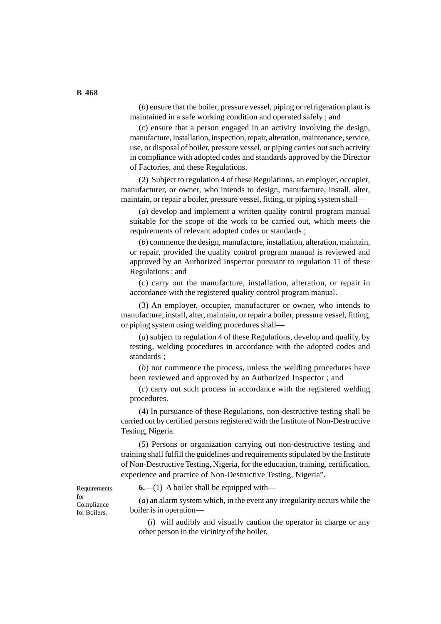(*b*) ensure that the boiler, pressure vessel, piping or refrigeration plant is maintained in a safe working condition and operated safely ; and

(*c*) ensure that a person engaged in an activity involving the design, manufacture, installation, inspection, repair, alteration, maintenance, service, use, or disposal of boiler, pressure vessel, or piping carries out such activity in compliance with adopted codes and standards approved by the Director of Factories, and these Regulations.

(2) Subject to regulation 4 of these Regulations, an employer, occupier, manufacturer, or owner, who intends to design, manufacture, install, alter, maintain, or repair a boiler, pressure vessel, fitting, or piping system shall—

(*a*) develop and implement a written quality control program manual suitable for the scope of the work to be carried out, which meets the requirements of relevant adopted codes or standards ;

(*b*) commence the design, manufacture, installation, alteration, maintain, or repair, provided the quality control program manual is reviewed and approved by an Authorized Inspector pursuant to regulation 11 of these Regulations ; and

(*c*) carry out the manufacture, installation, alteration, or repair in accordance with the registered quality control program manual.

(3) An employer, occupier, manufacturer or owner, who intends to manufacture, install, alter, maintain, or repair a boiler, pressure vessel, fitting, or piping system using welding procedures shall—

(*a*) subject to regulation 4 of these Regulations, develop and qualify, by testing, welding procedures in accordance with the adopted codes and standards ;

(*b*) not commence the process, unless the welding procedures have been reviewed and approved by an Authorized Inspector ; and

(*c*) carry out such process in accordance with the registered welding procedures.

(4) In pursuance of these Regulations, non-destructive testing shall be carried out by certified persons registered with the Institute of Non-Destructive Testing, Nigeria.

(5) Persons or organization carrying out non-destructive testing and training shall fulfill the guidelines and requirements stipulated by the Institute of Non-Destructive Testing, Nigeria, for the education, training, certification, experience and practice of Non-Destructive Testing, Nigeria".

Requirements for Compliance for Boilers.

**6.**—(1) A boiler shall be equipped with—

(*a*) an alarm system which, in the event any irregularity occurs while the boiler is in operation—

(*i*) will audibly and visually caution the operator in charge or any other person in the vicinity of the boiler,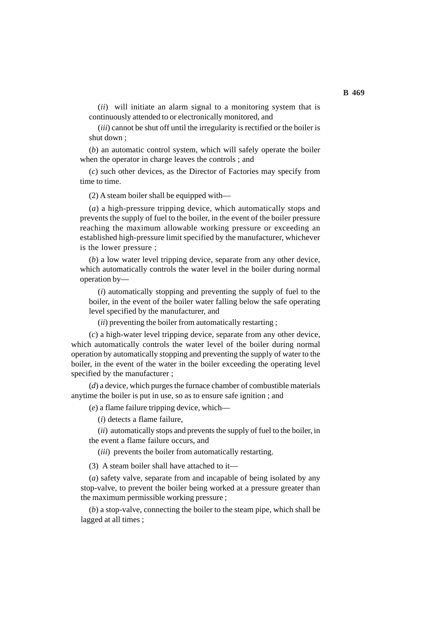(*ii*) will initiate an alarm signal to a monitoring system that is continuously attended to or electronically monitored, and

(*iii*) cannot be shut off until the irregularity is rectified or the boiler is shut down ;

(*b*) an automatic control system, which will safely operate the boiler when the operator in charge leaves the controls ; and

(*c*) such other devices, as the Director of Factories may specify from time to time.

(2) A steam boiler shall be equipped with—

(*a*) a high-pressure tripping device, which automatically stops and prevents the supply of fuel to the boiler, in the event of the boiler pressure reaching the maximum allowable working pressure or exceeding an established high-pressure limit specified by the manufacturer, whichever is the lower pressure ;

(*b*) a low water level tripping device, separate from any other device, which automatically controls the water level in the boiler during normal operation by—

(*i*) automatically stopping and preventing the supply of fuel to the boiler, in the event of the boiler water falling below the safe operating level specified by the manufacturer, and

(*ii*) preventing the boiler from automatically restarting ;

(*c*) a high-water level tripping device, separate from any other device, which automatically controls the water level of the boiler during normal operation by automatically stopping and preventing the supply of water to the boiler, in the event of the water in the boiler exceeding the operating level specified by the manufacturer ;

(*d*) a device, which purges the furnace chamber of combustible materials anytime the boiler is put in use, so as to ensure safe ignition ; and

(*e*) a flame failure tripping device, which—

(*i*) detects a flame failure,

(*ii*) automatically stops and prevents the supply of fuel to the boiler, in the event a flame failure occurs, and

(*iii*) prevents the boiler from automatically restarting.

(3) A steam boiler shall have attached to it—

(*a*) safety valve, separate from and incapable of being isolated by any stop-valve, to prevent the boiler being worked at a pressure greater than the maximum permissible working pressure ;

(*b*) a stop-valve, connecting the boiler to the steam pipe, which shall be lagged at all times ;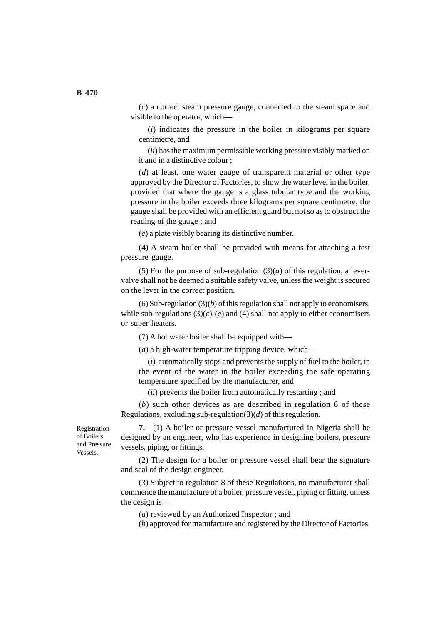(*c*) a correct steam pressure gauge, connected to the steam space and visible to the operator, which—

(*i*) indicates the pressure in the boiler in kilograms per square centimetre, and

(*ii*) has the maximum permissible working pressure visibly marked on it and in a distinctive colour ;

(*d*) at least, one water gauge of transparent material or other type approved by the Director of Factories, to show the water level in the boiler, provided that where the gauge is a glass tubular type and the working pressure in the boiler exceeds three kilograms per square centimetre, the gauge shall be provided with an efficient guard but not so as to obstruct the reading of the gauge ; and

(*e*) a plate visibly bearing its distinctive number.

(4) A steam boiler shall be provided with means for attaching a test pressure gauge.

(5) For the purpose of sub-regulation  $(3)(a)$  of this regulation, a levervalve shall not be deemed a suitable safety valve, unless the weight is secured on the lever in the correct position.

(6) Sub-regulation  $(3)(b)$  of this regulation shall not apply to economisers, while sub-regulations  $(3)(c)-(e)$  and  $(4)$  shall not apply to either economisers or super heaters.

(7) A hot water boiler shall be equipped with—

(*a*) a high-water temperature tripping device, which—

(*i*) automatically stops and prevents the supply of fuel to the boiler, in the event of the water in the boiler exceeding the safe operating temperature specified by the manufacturer, and

(*ii*) prevents the boiler from automatically restarting ; and

(*b*) such other devices as are described in regulation 6 of these Regulations, excluding sub-regulation(3)(*d*) of this regulation.

Registration of Boilers and Pressure Vessels.

**7.**—(1) A boiler or pressure vessel manufactured in Nigeria shall be designed by an engineer, who has experience in designing boilers, pressure vessels, piping, or fittings.

(2) The design for a boiler or pressure vessel shall bear the signature and seal of the design engineer.

(3) Subject to regulation 8 of these Regulations, no manufacturer shall commence the manufacture of a boiler, pressure vessel, piping or fitting, unless the design is—

(*a*) reviewed by an Authorized Inspector ; and

(*b*) approved for manufacture and registered by the Director of Factories.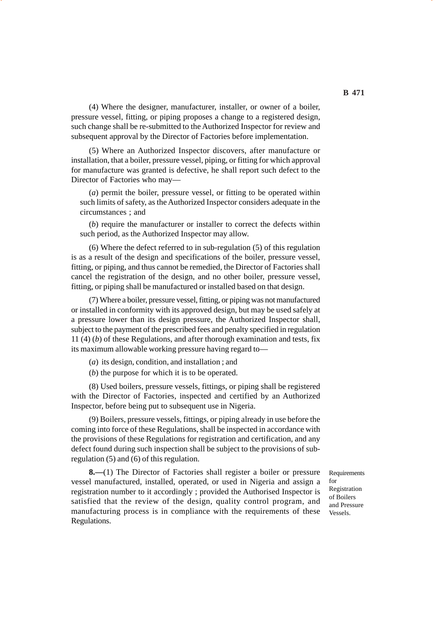(4) Where the designer, manufacturer, installer, or owner of a boiler, pressure vessel, fitting, or piping proposes a change to a registered design, such change shall be re-submitted to the Authorized Inspector for review and subsequent approval by the Director of Factories before implementation.

(5) Where an Authorized Inspector discovers, after manufacture or installation, that a boiler, pressure vessel, piping, or fitting for which approval for manufacture was granted is defective, he shall report such defect to the Director of Factories who may—

(*a*) permit the boiler, pressure vessel, or fitting to be operated within such limits of safety, as the Authorized Inspector considers adequate in the circumstances ; and

(*b*) require the manufacturer or installer to correct the defects within such period, as the Authorized Inspector may allow.

(6) Where the defect referred to in sub-regulation (5) of this regulation is as a result of the design and specifications of the boiler, pressure vessel, fitting, or piping, and thus cannot be remedied, the Director of Factories shall cancel the registration of the design, and no other boiler, pressure vessel, fitting, or piping shall be manufactured or installed based on that design.

(7) Where a boiler, pressure vessel, fitting, or piping was not manufactured or installed in conformity with its approved design, but may be used safely at a pressure lower than its design pressure, the Authorized Inspector shall, subject to the payment of the prescribed fees and penalty specified in regulation 11 (4) (*b*) of these Regulations, and after thorough examination and tests, fix its maximum allowable working pressure having regard to—

(*a*) its design, condition, and installation ; and

(*b*) the purpose for which it is to be operated.

(8) Used boilers, pressure vessels, fittings, or piping shall be registered with the Director of Factories, inspected and certified by an Authorized Inspector, before being put to subsequent use in Nigeria.

(9) Boilers, pressure vessels, fittings, or piping already in use before the coming into force of these Regulations, shall be inspected in accordance with the provisions of these Regulations for registration and certification, and any defect found during such inspection shall be subject to the provisions of subregulation (5) and (6) of this regulation.

**8.—**(1) The Director of Factories shall register a boiler or pressure vessel manufactured, installed, operated, or used in Nigeria and assign a registration number to it accordingly ; provided the Authorised Inspector is satisfied that the review of the design, quality control program, and manufacturing process is in compliance with the requirements of these Regulations.

**Requirements** for Registration of Boilers and Pressure Vessels.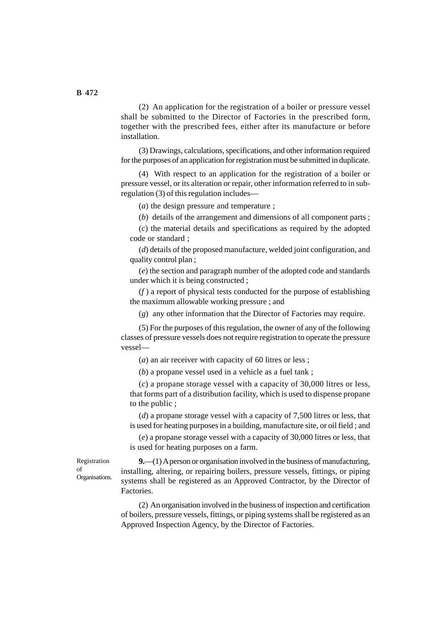(2) An application for the registration of a boiler or pressure vessel shall be submitted to the Director of Factories in the prescribed form, together with the prescribed fees, either after its manufacture or before installation.

(3) Drawings, calculations, specifications, and other information required for the purposes of an application for registration must be submitted in duplicate.

(4) With respect to an application for the registration of a boiler or pressure vessel, or its alteration or repair, other information referred to in subregulation (3) of this regulation includes—

(*a*) the design pressure and temperature ;

(*b*) details of the arrangement and dimensions of all component parts ;

(*c*) the material details and specifications as required by the adopted code or standard ;

(*d*) details of the proposed manufacture, welded joint configuration, and quality control plan ;

(*e*) the section and paragraph number of the adopted code and standards under which it is being constructed ;

(*f* ) a report of physical tests conducted for the purpose of establishing the maximum allowable working pressure ; and

(*g*) any other information that the Director of Factories may require.

(5) For the purposes of this regulation, the owner of any of the following classes of pressure vessels does not require registration to operate the pressure vessel—

(*a*) an air receiver with capacity of 60 litres or less ;

(*b*) a propane vessel used in a vehicle as a fuel tank ;

(*c*) a propane storage vessel with a capacity of 30,000 litres or less, that forms part of a distribution facility, which is used to dispense propane to the public ;

(*d*) a propane storage vessel with a capacity of 7,500 litres or less, that is used for heating purposes in a building, manufacture site, or oil field ; and

(*e*) a propane storage vessel with a capacity of 30,000 litres or less, that is used for heating purposes on a farm.

Registration of Organisations.

**9.**—(1) A person or organisation involved in the business of manufacturing, installing, altering, or repairing boilers, pressure vessels, fittings, or piping systems shall be registered as an Approved Contractor, by the Director of Factories.

(2) An organisation involved in the business of inspection and certification of boilers, pressure vessels, fittings, or piping systems shall be registered as an Approved Inspection Agency, by the Director of Factories.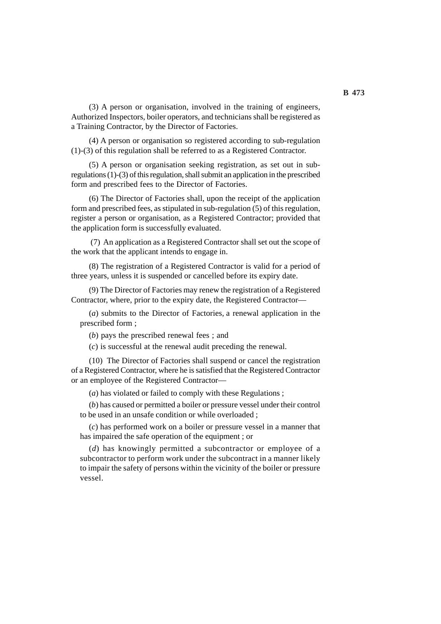(3) A person or organisation, involved in the training of engineers, Authorized Inspectors, boiler operators, and technicians shall be registered as a Training Contractor, by the Director of Factories.

(4) A person or organisation so registered according to sub-regulation (1)-(3) of this regulation shall be referred to as a Registered Contractor.

(5) A person or organisation seeking registration, as set out in subregulations (1)-(3) of this regulation, shall submit an application in the prescribed form and prescribed fees to the Director of Factories.

(6) The Director of Factories shall, upon the receipt of the application form and prescribed fees, as stipulated in sub-regulation (5) of this regulation, register a person or organisation, as a Registered Contractor; provided that the application form is successfully evaluated.

 (7) An application as a Registered Contractor shall set out the scope of the work that the applicant intends to engage in.

(8) The registration of a Registered Contractor is valid for a period of three years, unless it is suspended or cancelled before its expiry date.

(9) The Director of Factories may renew the registration of a Registered Contractor, where, prior to the expiry date, the Registered Contractor—

(*a*) submits to the Director of Factories, a renewal application in the prescribed form ;

(*b*) pays the prescribed renewal fees ; and

(*c*) is successful at the renewal audit preceding the renewal.

(10) The Director of Factories shall suspend or cancel the registration of a Registered Contractor, where he is satisfied that the Registered Contractor or an employee of the Registered Contractor—

(*a*) has violated or failed to comply with these Regulations ;

(*b*) has caused or permitted a boiler or pressure vessel under their control to be used in an unsafe condition or while overloaded ;

(*c*) has performed work on a boiler or pressure vessel in a manner that has impaired the safe operation of the equipment ; or

(*d*) has knowingly permitted a subcontractor or employee of a subcontractor to perform work under the subcontract in a manner likely to impair the safety of persons within the vicinity of the boiler or pressure vessel.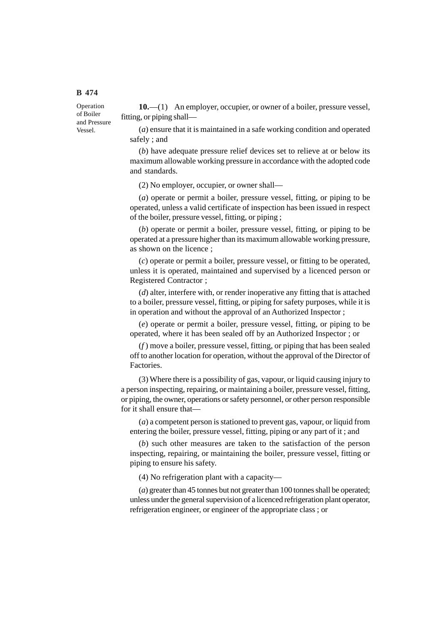Operation of Boiler and Pressure Vessel.

**10.**—(1) An employer, occupier, or owner of a boiler, pressure vessel, fitting, or piping shall—

(*a*) ensure that it is maintained in a safe working condition and operated safely ; and

(*b*) have adequate pressure relief devices set to relieve at or below its maximum allowable working pressure in accordance with the adopted code and standards.

(2) No employer, occupier, or owner shall—

(*a*) operate or permit a boiler, pressure vessel, fitting, or piping to be operated, unless a valid certificate of inspection has been issued in respect of the boiler, pressure vessel, fitting, or piping ;

(*b*) operate or permit a boiler, pressure vessel, fitting, or piping to be operated at a pressure higher than its maximum allowable working pressure, as shown on the licence ;

(*c*) operate or permit a boiler, pressure vessel, or fitting to be operated, unless it is operated, maintained and supervised by a licenced person or Registered Contractor ;

(*d*) alter, interfere with, or render inoperative any fitting that is attached to a boiler, pressure vessel, fitting, or piping for safety purposes, while it is in operation and without the approval of an Authorized Inspector ;

(*e*) operate or permit a boiler, pressure vessel, fitting, or piping to be operated, where it has been sealed off by an Authorized Inspector ; or

(*f* ) move a boiler, pressure vessel, fitting, or piping that has been sealed off to another location for operation, without the approval of the Director of Factories.

(3) Where there is a possibility of gas, vapour, or liquid causing injury to a person inspecting, repairing, or maintaining a boiler, pressure vessel, fitting, or piping, the owner, operations or safety personnel, or other person responsible for it shall ensure that—

(*a*) a competent person is stationed to prevent gas, vapour, or liquid from entering the boiler, pressure vessel, fitting, piping or any part of it ; and

(*b*) such other measures are taken to the satisfaction of the person inspecting, repairing, or maintaining the boiler, pressure vessel, fitting or piping to ensure his safety.

(4) No refrigeration plant with a capacity—

(*a*) greater than 45 tonnes but not greater than 100 tonnes shall be operated; unless under the general supervision of a licenced refrigeration plant operator, refrigeration engineer, or engineer of the appropriate class ; or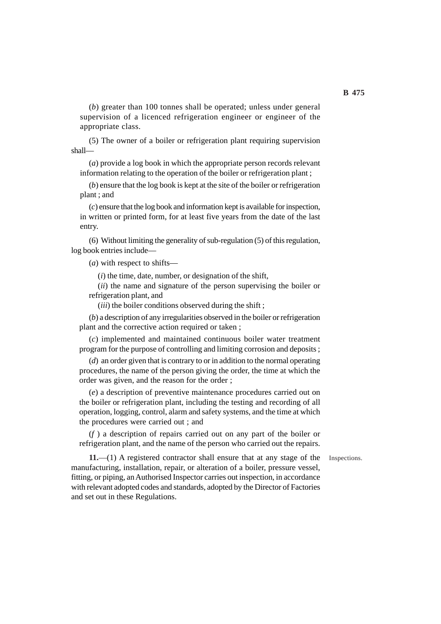(*b*) greater than 100 tonnes shall be operated; unless under general supervision of a licenced refrigeration engineer or engineer of the appropriate class.

(5) The owner of a boiler or refrigeration plant requiring supervision shall—

(*a*) provide a log book in which the appropriate person records relevant information relating to the operation of the boiler or refrigeration plant ;

(*b*) ensure that the log book is kept at the site of the boiler or refrigeration plant ; and

(*c*) ensure that the log book and information kept is available for inspection, in written or printed form, for at least five years from the date of the last entry.

(6) Without limiting the generality of sub-regulation (5) of this regulation, log book entries include—

(*a*) with respect to shifts—

(*i*) the time, date, number, or designation of the shift,

(*ii*) the name and signature of the person supervising the boiler or refrigeration plant, and

(*iii*) the boiler conditions observed during the shift ;

(*b*) a description of any irregularities observed in the boiler or refrigeration plant and the corrective action required or taken ;

(*c*) implemented and maintained continuous boiler water treatment program for the purpose of controlling and limiting corrosion and deposits ;

(*d*) an order given that is contrary to or in addition to the normal operating procedures, the name of the person giving the order, the time at which the order was given, and the reason for the order ;

(*e*) a description of preventive maintenance procedures carried out on the boiler or refrigeration plant, including the testing and recording of all operation, logging, control, alarm and safety systems, and the time at which the procedures were carried out ; and

(*f* ) a description of repairs carried out on any part of the boiler or refrigeration plant, and the name of the person who carried out the repairs.

Inspections.

**11.**—(1) A registered contractor shall ensure that at any stage of the manufacturing, installation, repair, or alteration of a boiler, pressure vessel, fitting, or piping, an Authorised Inspector carries out inspection, in accordance with relevant adopted codes and standards, adopted by the Director of Factories and set out in these Regulations.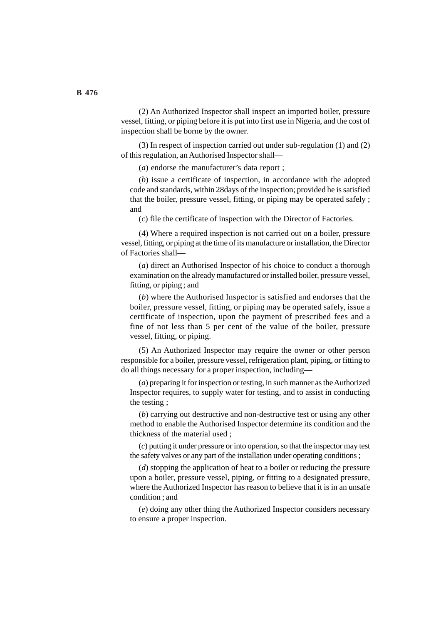(2) An Authorized Inspector shall inspect an imported boiler, pressure vessel, fitting, or piping before it is put into first use in Nigeria, and the cost of inspection shall be borne by the owner.

(3) In respect of inspection carried out under sub-regulation (1) and (2) of this regulation, an Authorised Inspector shall—

(*a*) endorse the manufacturer's data report ;

(*b*) issue a certificate of inspection, in accordance with the adopted code and standards, within 28days of the inspection; provided he is satisfied that the boiler, pressure vessel, fitting, or piping may be operated safely ; and

(*c*) file the certificate of inspection with the Director of Factories.

(4) Where a required inspection is not carried out on a boiler, pressure vessel, fitting, or piping at the time of its manufacture or installation, the Director of Factories shall—

(*a*) direct an Authorised Inspector of his choice to conduct a thorough examination on the already manufactured or installed boiler, pressure vessel, fitting, or piping ; and

(*b*) where the Authorised Inspector is satisfied and endorses that the boiler, pressure vessel, fitting, or piping may be operated safely, issue a certificate of inspection, upon the payment of prescribed fees and a fine of not less than 5 per cent of the value of the boiler, pressure vessel, fitting, or piping.

(5) An Authorized Inspector may require the owner or other person responsible for a boiler, pressure vessel, refrigeration plant, piping, or fitting to do all things necessary for a proper inspection, including—

(*a*) preparing it for inspection or testing, in such manner as the Authorized Inspector requires, to supply water for testing, and to assist in conducting the testing ;

(*b*) carrying out destructive and non-destructive test or using any other method to enable the Authorised Inspector determine its condition and the thickness of the material used ;

(*c*) putting it under pressure or into operation, so that the inspector may test the safety valves or any part of the installation under operating conditions ;

(*d*) stopping the application of heat to a boiler or reducing the pressure upon a boiler, pressure vessel, piping, or fitting to a designated pressure, where the Authorized Inspector has reason to believe that it is in an unsafe condition ; and

(*e*) doing any other thing the Authorized Inspector considers necessary to ensure a proper inspection.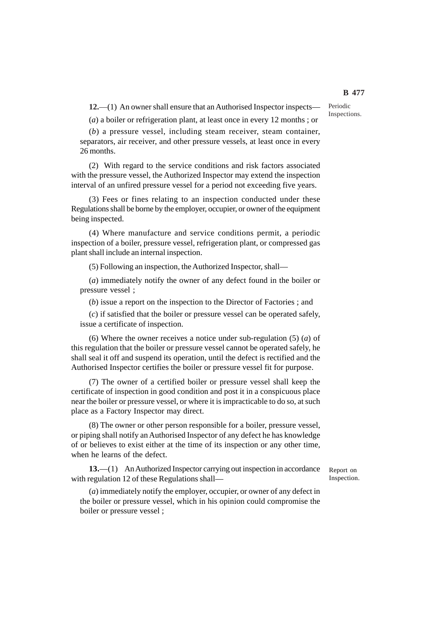**12.**—(1) An owner shall ensure that an Authorised Inspector inspects—

(*a*) a boiler or refrigeration plant, at least once in every 12 months ; or

(*b*) a pressure vessel, including steam receiver, steam container, separators, air receiver, and other pressure vessels, at least once in every 26 months.

(2) With regard to the service conditions and risk factors associated with the pressure vessel, the Authorized Inspector may extend the inspection interval of an unfired pressure vessel for a period not exceeding five years.

(3) Fees or fines relating to an inspection conducted under these Regulations shall be borne by the employer, occupier, or owner of the equipment being inspected.

(4) Where manufacture and service conditions permit, a periodic inspection of a boiler, pressure vessel, refrigeration plant, or compressed gas plant shall include an internal inspection.

(5) Following an inspection, the Authorized Inspector, shall—

(*a*) immediately notify the owner of any defect found in the boiler or pressure vessel ;

(*b*) issue a report on the inspection to the Director of Factories ; and

(*c*) if satisfied that the boiler or pressure vessel can be operated safely, issue a certificate of inspection.

(6) Where the owner receives a notice under sub-regulation (5) (*a*) of this regulation that the boiler or pressure vessel cannot be operated safely, he shall seal it off and suspend its operation, until the defect is rectified and the Authorised Inspector certifies the boiler or pressure vessel fit for purpose.

(7) The owner of a certified boiler or pressure vessel shall keep the certificate of inspection in good condition and post it in a conspicuous place near the boiler or pressure vessel, or where it is impracticable to do so, at such place as a Factory Inspector may direct.

(8) The owner or other person responsible for a boiler, pressure vessel, or piping shall notify an Authorised Inspector of any defect he has knowledge of or believes to exist either at the time of its inspection or any other time, when he learns of the defect.

**13.**—(1) An Authorized Inspector carrying out inspection in accordance with regulation 12 of these Regulations shall—

Report on Inspection.

(*a*) immediately notify the employer, occupier, or owner of any defect in the boiler or pressure vessel, which in his opinion could compromise the boiler or pressure vessel ;

Periodic Inspections.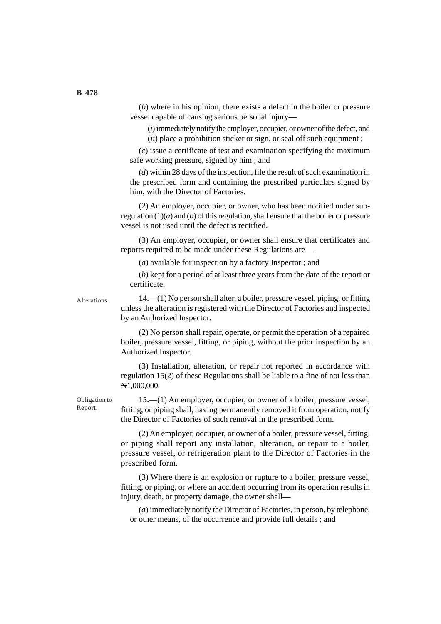(*b*) where in his opinion, there exists a defect in the boiler or pressure vessel capable of causing serious personal injury—

(*i*) immediately notify the employer, occupier, or owner of the defect, and (*ii*) place a prohibition sticker or sign, or seal off such equipment ;

(*c*) issue a certificate of test and examination specifying the maximum safe working pressure, signed by him ; and

(*d*) within 28 days of the inspection, file the result of such examination in the prescribed form and containing the prescribed particulars signed by him, with the Director of Factories.

(2) An employer, occupier, or owner, who has been notified under subregulation (1)(*a*) and (*b*) of this regulation, shall ensure that the boiler or pressure vessel is not used until the defect is rectified.

(3) An employer, occupier, or owner shall ensure that certificates and reports required to be made under these Regulations are—

(*a*) available for inspection by a factory Inspector ; and

(*b*) kept for a period of at least three years from the date of the report or certificate.

Alterations.

**14.**—(1) No person shall alter, a boiler, pressure vessel, piping, or fitting unless the alteration is registered with the Director of Factories and inspected by an Authorized Inspector.

(2) No person shall repair, operate, or permit the operation of a repaired boiler, pressure vessel, fitting, or piping, without the prior inspection by an Authorized Inspector.

(3) Installation, alteration, or repair not reported in accordance with regulation 15(2) of these Regulations shall be liable to a fine of not less than N1,000,000.

Obligation to Report.

**15.**—(1) An employer, occupier, or owner of a boiler, pressure vessel, fitting, or piping shall, having permanently removed it from operation, notify the Director of Factories of such removal in the prescribed form.

(2) An employer, occupier, or owner of a boiler, pressure vessel, fitting, or piping shall report any installation, alteration, or repair to a boiler, pressure vessel, or refrigeration plant to the Director of Factories in the prescribed form.

(3) Where there is an explosion or rupture to a boiler, pressure vessel, fitting, or piping, or where an accident occurring from its operation results in injury, death, or property damage, the owner shall—

(*a*) immediately notify the Director of Factories, in person, by telephone, or other means, of the occurrence and provide full details ; and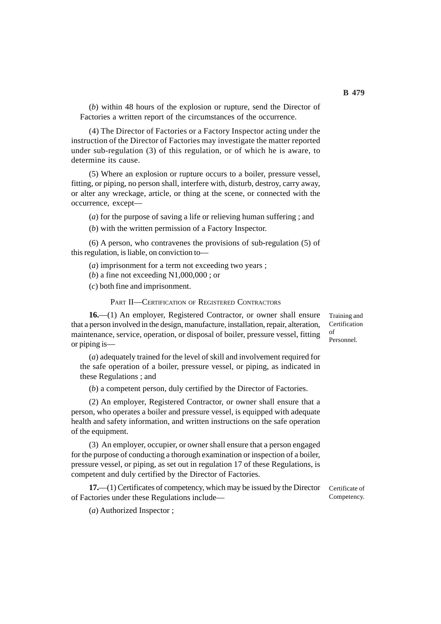(*b*) within 48 hours of the explosion or rupture, send the Director of Factories a written report of the circumstances of the occurrence.

(4) The Director of Factories or a Factory Inspector acting under the instruction of the Director of Factories may investigate the matter reported under sub-regulation (3) of this regulation, or of which he is aware, to determine its cause.

(5) Where an explosion or rupture occurs to a boiler, pressure vessel, fitting, or piping, no person shall, interfere with, disturb, destroy, carry away, or alter any wreckage, article, or thing at the scene, or connected with the occurrence, except—

(*a*) for the purpose of saving a life or relieving human suffering ; and

(*b*) with the written permission of a Factory Inspector.

(6) A person, who contravenes the provisions of sub-regulation (5) of this regulation, is liable, on conviction to—

(*a*) imprisonment for a term not exceeding two years ;

(*b*) a fine not exceeding N1,000,000 ; or

(*c*) both fine and imprisonment.

PART II—CERTIFICATION OF REGISTERED CONTRACTORS

**16.**—(1) An employer, Registered Contractor, or owner shall ensure that a person involved in the design, manufacture, installation, repair, alteration, maintenance, service, operation, or disposal of boiler, pressure vessel, fitting or piping is—

Training and Certification of Personnel.

(*a*) adequately trained for the level of skill and involvement required for the safe operation of a boiler, pressure vessel, or piping, as indicated in these Regulations ; and

(*b*) a competent person, duly certified by the Director of Factories.

(2) An employer, Registered Contractor, or owner shall ensure that a person, who operates a boiler and pressure vessel, is equipped with adequate health and safety information, and written instructions on the safe operation of the equipment.

(3) An employer, occupier, or owner shall ensure that a person engaged for the purpose of conducting a thorough examination or inspection of a boiler, pressure vessel, or piping, as set out in regulation 17 of these Regulations, is competent and duly certified by the Director of Factories.

**17.**—(1) Certificates of competency, which may be issued by the Director of Factories under these Regulations include—

Certificate of Competency.

(*a*) Authorized Inspector ;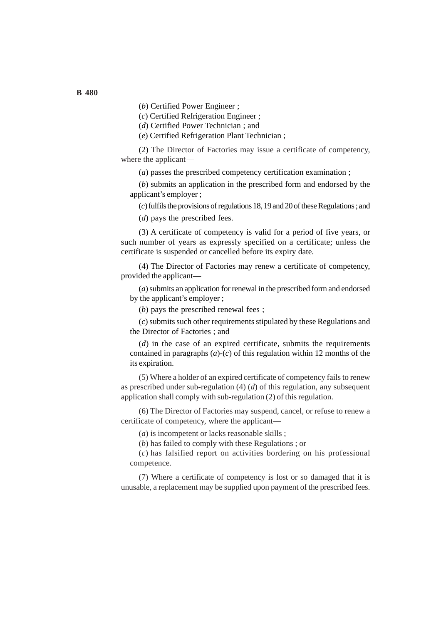(*b*) Certified Power Engineer ;

(*c*) Certified Refrigeration Engineer ;

(*d*) Certified Power Technician ; and

(*e*) Certified Refrigeration Plant Technician ;

(2) The Director of Factories may issue a certificate of competency, where the applicant—

(*a*) passes the prescribed competency certification examination ;

(*b*) submits an application in the prescribed form and endorsed by the applicant's employer ;

(*c*) fulfils the provisions of regulations 18, 19 and 20 of these Regulations ; and (*d*) pays the prescribed fees.

(3) A certificate of competency is valid for a period of five years, or such number of years as expressly specified on a certificate; unless the certificate is suspended or cancelled before its expiry date.

(4) The Director of Factories may renew a certificate of competency, provided the applicant—

(*a*) submits an application for renewal in the prescribed form and endorsed by the applicant's employer ;

(*b*) pays the prescribed renewal fees ;

(*c*) submits such other requirements stipulated by these Regulations and the Director of Factories ; and

(*d*) in the case of an expired certificate, submits the requirements contained in paragraphs  $(a)-(c)$  of this regulation within 12 months of the its expiration.

(5) Where a holder of an expired certificate of competency fails to renew as prescribed under sub-regulation (4) (*d*) of this regulation, any subsequent application shall comply with sub-regulation (2) of this regulation.

(6) The Director of Factories may suspend, cancel, or refuse to renew a certificate of competency, where the applicant—

(*a*) is incompetent or lacks reasonable skills ;

(*b*) has failed to comply with these Regulations ; or

(*c*) has falsified report on activities bordering on his professional competence.

(7) Where a certificate of competency is lost or so damaged that it is unusable, a replacement may be supplied upon payment of the prescribed fees.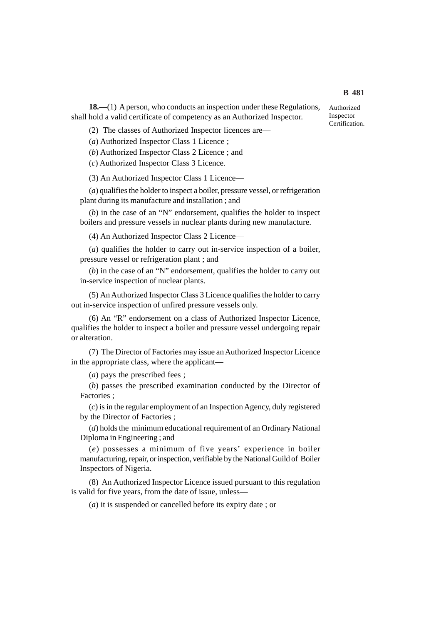(2) The classes of Authorized Inspector licences are—

(*a*) Authorized Inspector Class 1 Licence ;

(*b*) Authorized Inspector Class 2 Licence ; and

(*c*) Authorized Inspector Class 3 Licence.

(3) An Authorized Inspector Class 1 Licence—

(*a*) qualifies the holder to inspect a boiler, pressure vessel, or refrigeration plant during its manufacture and installation ; and

(*b*) in the case of an "N" endorsement, qualifies the holder to inspect boilers and pressure vessels in nuclear plants during new manufacture.

(4) An Authorized Inspector Class 2 Licence—

(*a*) qualifies the holder to carry out in-service inspection of a boiler, pressure vessel or refrigeration plant ; and

(*b*) in the case of an "N" endorsement, qualifies the holder to carry out in-service inspection of nuclear plants.

(5) An Authorized Inspector Class 3 Licence qualifies the holder to carry out in-service inspection of unfired pressure vessels only.

(6) An "R" endorsement on a class of Authorized Inspector Licence, qualifies the holder to inspect a boiler and pressure vessel undergoing repair or alteration.

(7) The Director of Factories may issue an Authorized Inspector Licence in the appropriate class, where the applicant—

(*a*) pays the prescribed fees ;

(*b*) passes the prescribed examination conducted by the Director of Factories ;

(*c*) is in the regular employment of an Inspection Agency, duly registered by the Director of Factories ;

(*d*) holds the minimum educational requirement of an Ordinary National Diploma in Engineering ; and

(*e*) possesses a minimum of five years' experience in boiler manufacturing, repair, or inspection, verifiable by the National Guild of Boiler Inspectors of Nigeria.

(8) An Authorized Inspector Licence issued pursuant to this regulation is valid for five years, from the date of issue, unless—

(*a*) it is suspended or cancelled before its expiry date ; or

Authorized Inspector Certification.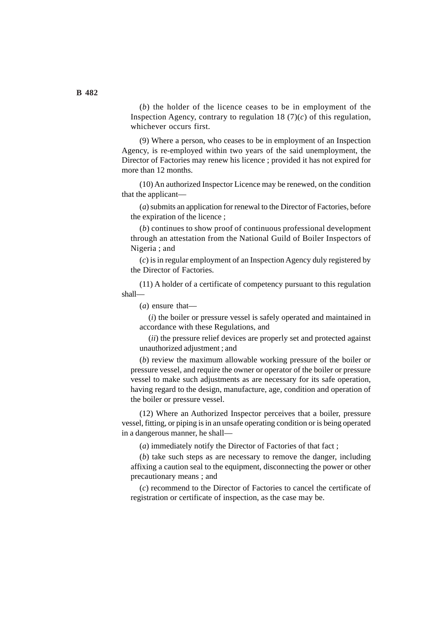(*b*) the holder of the licence ceases to be in employment of the Inspection Agency, contrary to regulation 18  $(7)(c)$  of this regulation, whichever occurs first.

(9) Where a person, who ceases to be in employment of an Inspection Agency, is re-employed within two years of the said unemployment, the Director of Factories may renew his licence ; provided it has not expired for more than 12 months.

(10) An authorized Inspector Licence may be renewed, on the condition that the applicant—

(*a*) submits an application for renewal to the Director of Factories, before the expiration of the licence ;

(*b*) continues to show proof of continuous professional development through an attestation from the National Guild of Boiler Inspectors of Nigeria ; and

(*c*) is in regular employment of an Inspection Agency duly registered by the Director of Factories.

(11) A holder of a certificate of competency pursuant to this regulation shall—

(*a*) ensure that—

(*i*) the boiler or pressure vessel is safely operated and maintained in accordance with these Regulations, and

(*ii*) the pressure relief devices are properly set and protected against unauthorized adjustment ; and

(*b*) review the maximum allowable working pressure of the boiler or pressure vessel, and require the owner or operator of the boiler or pressure vessel to make such adjustments as are necessary for its safe operation, having regard to the design, manufacture, age, condition and operation of the boiler or pressure vessel.

(12) Where an Authorized Inspector perceives that a boiler, pressure vessel, fitting, or piping is in an unsafe operating condition or is being operated in a dangerous manner, he shall—

(*a*) immediately notify the Director of Factories of that fact ;

(*b*) take such steps as are necessary to remove the danger, including affixing a caution seal to the equipment, disconnecting the power or other precautionary means ; and

(*c*) recommend to the Director of Factories to cancel the certificate of registration or certificate of inspection, as the case may be.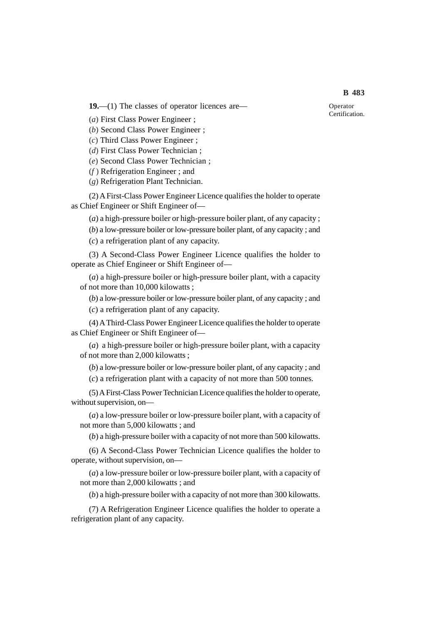**19.**—(1) The classes of operator licences are—

(*a*) First Class Power Engineer ;

(*b*) Second Class Power Engineer ;

(*c*) Third Class Power Engineer ;

(*d*) First Class Power Technician ;

(*e*) Second Class Power Technician ;

(*f* ) Refrigeration Engineer ; and

(*g*) Refrigeration Plant Technician.

(2) A First-Class Power Engineer Licence qualifies the holder to operate as Chief Engineer or Shift Engineer of—

(*a*) a high-pressure boiler or high-pressure boiler plant, of any capacity ;

(*b*) a low-pressure boiler or low-pressure boiler plant, of any capacity ; and (*c*) a refrigeration plant of any capacity.

(3) A Second-Class Power Engineer Licence qualifies the holder to operate as Chief Engineer or Shift Engineer of—

(*a*) a high-pressure boiler or high-pressure boiler plant, with a capacity of not more than 10,000 kilowatts ;

(*b*) a low-pressure boiler or low-pressure boiler plant, of any capacity ; and

(*c*) a refrigeration plant of any capacity.

(4) A Third-Class Power Engineer Licence qualifies the holder to operate as Chief Engineer or Shift Engineer of—

(*a*) a high-pressure boiler or high-pressure boiler plant, with a capacity of not more than 2,000 kilowatts ;

(*b*) a low-pressure boiler or low-pressure boiler plant, of any capacity ; and (*c*) a refrigeration plant with a capacity of not more than 500 tonnes.

(5) A First-Class Power Technician Licence qualifies the holder to operate, without supervision, on—

(*a*) a low-pressure boiler or low-pressure boiler plant, with a capacity of not more than 5,000 kilowatts ; and

(*b*) a high-pressure boiler with a capacity of not more than 500 kilowatts.

(6) A Second-Class Power Technician Licence qualifies the holder to operate, without supervision, on—

(*a*) a low-pressure boiler or low-pressure boiler plant, with a capacity of not more than 2,000 kilowatts ; and

(*b*) a high-pressure boiler with a capacity of not more than 300 kilowatts.

(7) A Refrigeration Engineer Licence qualifies the holder to operate a refrigeration plant of any capacity.

Operator Certification.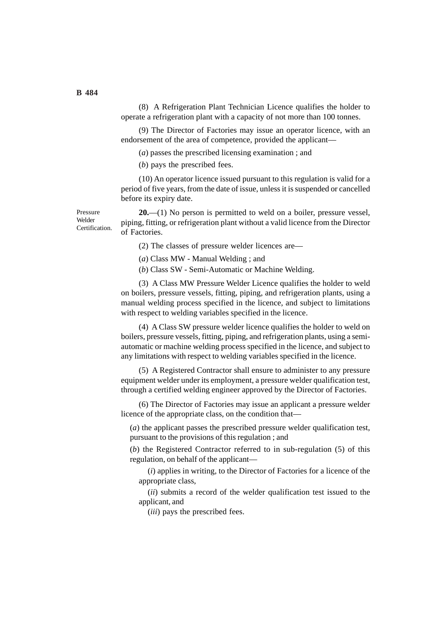(8) A Refrigeration Plant Technician Licence qualifies the holder to operate a refrigeration plant with a capacity of not more than 100 tonnes.

(9) The Director of Factories may issue an operator licence, with an endorsement of the area of competence, provided the applicant—

(*a*) passes the prescribed licensing examination ; and

(*b*) pays the prescribed fees.

(10) An operator licence issued pursuant to this regulation is valid for a period of five years, from the date of issue, unless it is suspended or cancelled before its expiry date.

**20.**—(1) No person is permitted to weld on a boiler, pressure vessel, piping, fitting, or refrigeration plant without a valid licence from the Director of Factories.

(2) The classes of pressure welder licences are—

(*a*) Class MW - Manual Welding ; and

(*b*) Class SW - Semi-Automatic or Machine Welding.

(3) A Class MW Pressure Welder Licence qualifies the holder to weld on boilers, pressure vessels, fitting, piping, and refrigeration plants, using a manual welding process specified in the licence, and subject to limitations with respect to welding variables specified in the licence.

(4) A Class SW pressure welder licence qualifies the holder to weld on boilers, pressure vessels, fitting, piping, and refrigeration plants, using a semiautomatic or machine welding process specified in the licence, and subject to any limitations with respect to welding variables specified in the licence.

(5) A Registered Contractor shall ensure to administer to any pressure equipment welder under its employment, a pressure welder qualification test, through a certified welding engineer approved by the Director of Factories.

(6) The Director of Factories may issue an applicant a pressure welder licence of the appropriate class, on the condition that—

(*a*) the applicant passes the prescribed pressure welder qualification test, pursuant to the provisions of this regulation ; and

(*b*) the Registered Contractor referred to in sub-regulation (5) of this regulation, on behalf of the applicant—

(*i*) applies in writing, to the Director of Factories for a licence of the appropriate class,

(*ii*) submits a record of the welder qualification test issued to the applicant, and

(*iii*) pays the prescribed fees.

#### **B 484**

Pressure Welder Certification.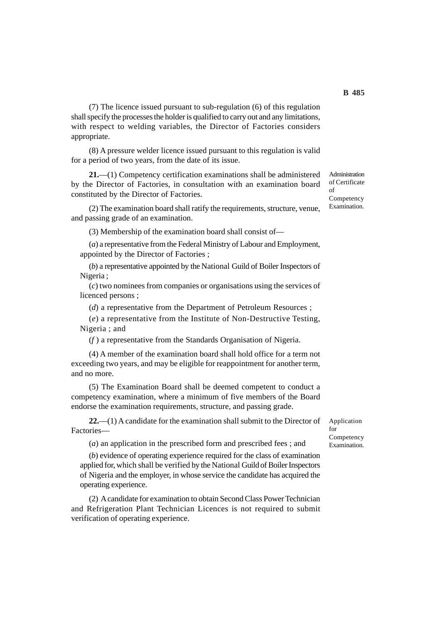(7) The licence issued pursuant to sub-regulation (6) of this regulation shall specify the processes the holder is qualified to carry out and any limitations, with respect to welding variables, the Director of Factories considers appropriate.

(8) A pressure welder licence issued pursuant to this regulation is valid for a period of two years, from the date of its issue.

**21.**—(1) Competency certification examinations shall be administered by the Director of Factories, in consultation with an examination board constituted by the Director of Factories.

(2) The examination board shall ratify the requirements, structure, venue, and passing grade of an examination.

(3) Membership of the examination board shall consist of—

(*a*) a representative from the Federal Ministry of Labour and Employment, appointed by the Director of Factories ;

(*b*) a representative appointed by the National Guild of Boiler Inspectors of Nigeria ;

(*c*) two nominees from companies or organisations using the services of licenced persons ;

(*d*) a representative from the Department of Petroleum Resources ;

(*e*) a representative from the Institute of Non-Destructive Testing, Nigeria ; and

(*f* ) a representative from the Standards Organisation of Nigeria.

(4) A member of the examination board shall hold office for a term not exceeding two years, and may be eligible for reappointment for another term, and no more.

(5) The Examination Board shall be deemed competent to conduct a competency examination, where a minimum of five members of the Board endorse the examination requirements, structure, and passing grade.

**22.**—(1) A candidate for the examination shall submit to the Director of Factories—

(*a*) an application in the prescribed form and prescribed fees ; and

(*b*) evidence of operating experience required for the class of examination applied for, which shall be verified by the National Guild of Boiler Inspectors of Nigeria and the employer, in whose service the candidate has acquired the operating experience.

(2) A candidate for examination to obtain Second Class Power Technician and Refrigeration Plant Technician Licences is not required to submit verification of operating experience.

Application for **Competency** Examination.

Administration of Certificate of Competency Examination.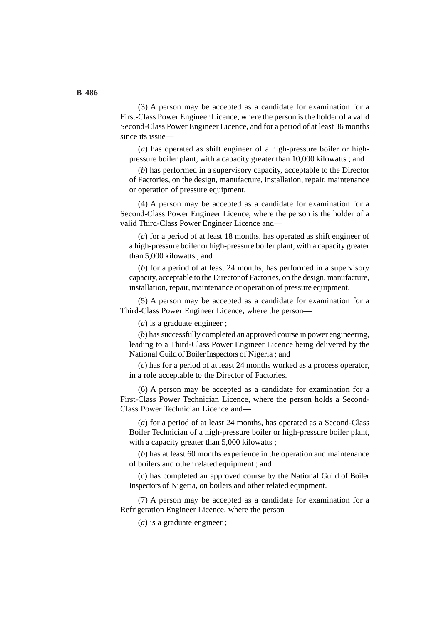(3) A person may be accepted as a candidate for examination for a First-Class Power Engineer Licence, where the person is the holder of a valid Second-Class Power Engineer Licence, and for a period of at least 36 months since its issue—

(*a*) has operated as shift engineer of a high-pressure boiler or highpressure boiler plant, with a capacity greater than 10,000 kilowatts ; and

(*b*) has performed in a supervisory capacity, acceptable to the Director of Factories, on the design, manufacture, installation, repair, maintenance or operation of pressure equipment.

(4) A person may be accepted as a candidate for examination for a Second-Class Power Engineer Licence, where the person is the holder of a valid Third-Class Power Engineer Licence and—

(*a*) for a period of at least 18 months, has operated as shift engineer of a high-pressure boiler or high-pressure boiler plant, with a capacity greater than 5,000 kilowatts ; and

(*b*) for a period of at least 24 months, has performed in a supervisory capacity, acceptable to the Director of Factories, on the design, manufacture, installation, repair, maintenance or operation of pressure equipment.

(5) A person may be accepted as a candidate for examination for a Third-Class Power Engineer Licence, where the person—

(*a*) is a graduate engineer ;

(*b*) has successfully completed an approved course in power engineering, leading to a Third-Class Power Engineer Licence being delivered by the National Guild of Boiler Inspectors of Nigeria ; and

(*c*) has for a period of at least 24 months worked as a process operator, in a role acceptable to the Director of Factories.

(6) A person may be accepted as a candidate for examination for a First-Class Power Technician Licence, where the person holds a Second-Class Power Technician Licence and—

(*a*) for a period of at least 24 months, has operated as a Second-Class Boiler Technician of a high-pressure boiler or high-pressure boiler plant, with a capacity greater than 5,000 kilowatts;

(*b*) has at least 60 months experience in the operation and maintenance of boilers and other related equipment ; and

(*c*) has completed an approved course by the National Guild of Boiler Inspectors of Nigeria, on boilers and other related equipment.

(7) A person may be accepted as a candidate for examination for a Refrigeration Engineer Licence, where the person—

(*a*) is a graduate engineer ;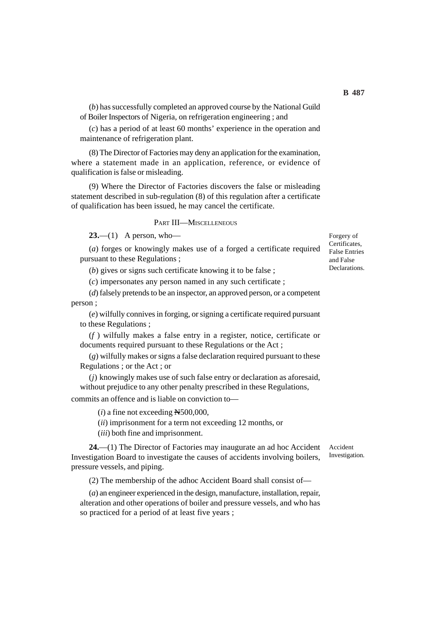(*b*) has successfully completed an approved course by the National Guild of Boiler Inspectors of Nigeria, on refrigeration engineering ; and

(*c*) has a period of at least 60 months' experience in the operation and maintenance of refrigeration plant.

(8) The Director of Factories may deny an application for the examination, where a statement made in an application, reference, or evidence of qualification is false or misleading.

(9) Where the Director of Factories discovers the false or misleading statement described in sub-regulation (8) of this regulation after a certificate of qualification has been issued, he may cancel the certificate.

#### PART III—MISCELLENEOUS

**23.**—(1) A person, who—

(*a*) forges or knowingly makes use of a forged a certificate required pursuant to these Regulations ;

(*b*) gives or signs such certificate knowing it to be false ;

(*c*) impersonates any person named in any such certificate ;

(*d*) falsely pretends to be an inspector, an approved person, or a competent person ;

(*e*) wilfully connives in forging, or signing a certificate required pursuant to these Regulations ;

(*f* ) wilfully makes a false entry in a register, notice, certificate or documents required pursuant to these Regulations or the Act ;

(*g*) wilfully makes or signs a false declaration required pursuant to these Regulations ; or the Act ; or

(*j*) knowingly makes use of such false entry or declaration as aforesaid, without prejudice to any other penalty prescribed in these Regulations, commits an offence and is liable on conviction to—

 $(i)$  a fine not exceeding  $N500,000$ ,

(*ii*) imprisonment for a term not exceeding 12 months, or

(*iii*) both fine and imprisonment.

**24.**—(1) The Director of Factories may inaugurate an ad hoc Accident Investigation Board to investigate the causes of accidents involving boilers, pressure vessels, and piping.

(2) The membership of the adhoc Accident Board shall consist of—

(*a*) an engineer experienced in the design, manufacture, installation, repair, alteration and other operations of boiler and pressure vessels, and who has so practiced for a period of at least five years ;

Forgery of Certificates, False Entries and False **Declarations** 

Accident Investigation.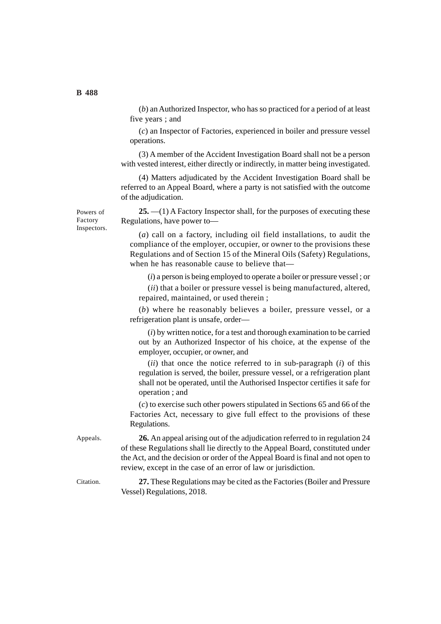(*b*) an Authorized Inspector, who has so practiced for a period of at least five years ; and

(*c*) an Inspector of Factories, experienced in boiler and pressure vessel operations.

(3) A member of the Accident Investigation Board shall not be a person with vested interest, either directly or indirectly, in matter being investigated.

(4) Matters adjudicated by the Accident Investigation Board shall be referred to an Appeal Board, where a party is not satisfied with the outcome of the adjudication.

**25.** —(1) A Factory Inspector shall, for the purposes of executing these Regulations, have power to—

(*a*) call on a factory, including oil field installations, to audit the compliance of the employer, occupier, or owner to the provisions these Regulations and of Section 15 of the Mineral Oils (Safety) Regulations, when he has reasonable cause to believe that—

(*i*) a person is being employed to operate a boiler or pressure vessel ; or

(*ii*) that a boiler or pressure vessel is being manufactured, altered, repaired, maintained, or used therein ;

(*b*) where he reasonably believes a boiler, pressure vessel, or a refrigeration plant is unsafe, order—

(*i*) by written notice, for a test and thorough examination to be carried out by an Authorized Inspector of his choice, at the expense of the employer, occupier, or owner, and

(*ii*) that once the notice referred to in sub-paragraph (*i*) of this regulation is served, the boiler, pressure vessel, or a refrigeration plant shall not be operated, until the Authorised Inspector certifies it safe for operation ; and

(*c*) to exercise such other powers stipulated in Sections 65 and 66 of the Factories Act, necessary to give full effect to the provisions of these Regulations.

**26.** An appeal arising out of the adjudication referred to in regulation 24 of these Regulations shall lie directly to the Appeal Board, constituted under the Act, and the decision or order of the Appeal Board is final and not open to review, except in the case of an error of law or jurisdiction. Appeals.

**27.** These Regulations may be cited as the Factories (Boiler and Pressure Vessel) Regulations, 2018. Citation.

Powers of Factory Inspectors.